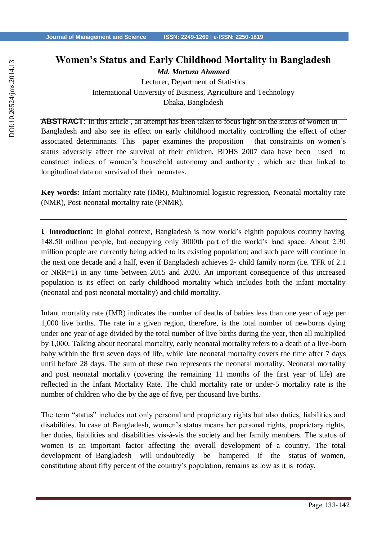## **Women's Status and Early Childhood Mortality in Bangladesh**

*Md. Mortuza Ahmmed* Lecturer, Department of Statistics International University of Business, Agriculture and Technology Dhaka, Bangladesh

**ABSTRACT:** In this article , an attempt has been taken to focus light on the status of women in Bangladesh and also see its effect on early childhood mortality controlling the effect of other associated determinants. This paper examines the proposition that constraints on women's status adversely affect the survival of their children. BDHS 2007 data have been used to construct indices of women's household autonomy and authority , which are then linked to longitudinal data on survival of their neonates.

**Key words:** Infant mortality rate (IMR), Multinomial logistic regression, Neonatal mortality rate (NMR), Post-neonatal mortality rate (PNMR).

**I. Introduction:** In global context, Bangladesh is now world's eighth populous country having 148.50 million people, but occupying only 3000th part of the world's land space. About 2.30 million people are currently being added to its existing population; and such pace will continue in the next one decade and a half, even if Bangladesh achieves 2- child family norm (i.e. TFR of 2.1 or NRR=1) in any time between 2015 and 2020. An important consequence of this increased population is its effect on early childhood mortality which includes both the infant mortality (neonatal and post neonatal mortality) and child mortality.

Infant mortality rate (IMR) indicates the number of deaths of babies less than one year of age per 1,000 live births. The rate in a given region, therefore, is the total number of newborns dying under one year of age divided by the total number of live births during the year, then all multiplied by 1,000. Talking about neonatal mortality, early neonatal mortality refers to a death of a live-born baby within the first seven days of life, while late neonatal mortality covers the time after 7 days until before 28 days. The sum of these two represents the neonatal mortality. Neonatal mortality and post neonatal mortality (covering the remaining 11 months of the first year of life) are reflected in the Infant Mortality Rate. The child mortality rate or under-5 mortality rate is the number of children who die by the age of five, per thousand live births.

The term "status" includes not only personal and proprietary rights but also duties, liabilities and disabilities. In case of Bangladesh, women's status means her personal rights, proprietary rights, her duties, liabilities and disabilities vis-à-vis the society and her family members. The status of women is an important factor affecting the overall development of a country. The total development of Bangladesh will undoubtedly be hampered if the status of women, constituting about fifty percent of the country's population, remains as low as it is today.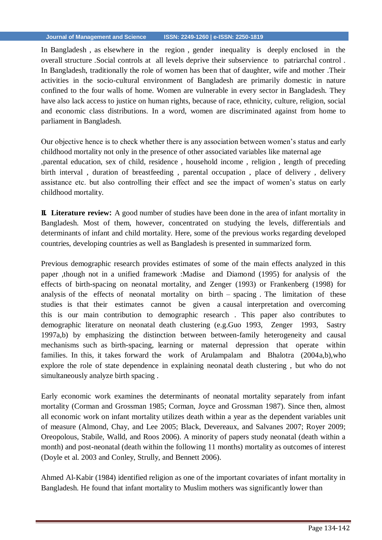In Bangladesh , as elsewhere in the region , gender inequality is deeply enclosed in the overall structure .Social controls at all levels deprive their subservience to patriarchal control . In Bangladesh, traditionally the role of women has been that of daughter, wife and mother .Their activities in the socio-cultural environment of Bangladesh are primarily domestic in nature confined to the four walls of home. Women are vulnerable in every sector in Bangladesh. They have also lack access to justice on human rights, because of race, ethnicity, culture, religion, social and economic class distributions. In a word, women are discriminated against from home to parliament in Bangladesh.

Our objective hence is to check whether there is any association between women's status and early childhood mortality not only in the presence of other associated variables like maternal age ,parental education, sex of child, residence , household income , religion , length of preceding birth interval , duration of breastfeeding , parental occupation , place of delivery , delivery assistance etc. but also controlling their effect and see the impact of women's status on early childhood mortality.

**II. Literature review:** A good number of studies have been done in the area of infant mortality in Bangladesh. Most of them, however, concentrated on studying the levels, differentials and determinants of infant and child mortality. Here, some of the previous works regarding developed countries, developing countries as well as Bangladesh is presented in summarized form.

Previous demographic research provides estimates of some of the main effects analyzed in this paper ,though not in a unified framework :Madise and Diamond (1995) for analysis of the effects of birth-spacing on neonatal mortality, and Zenger (1993) or Frankenberg (1998) for analysis of the effects of neonatal mortality on birth – spacing . The limitation of these studies is that their estimates cannot be given a causal interpretation and overcoming this is our main contribution to demographic research . This paper also contributes to demographic literature on neonatal death clustering (e.g.Guo 1993, Zenger 1993, Sastry 1997a,b) by emphasizing the distinction between between-family heterogeneity and causal mechanisms such as birth-spacing, learning or maternal depression that operate within families. In this, it takes forward the work of Arulampalam and Bhalotra (2004a,b),who explore the role of state dependence in explaining neonatal death clustering , but who do not simultaneously analyze birth spacing .

Early economic work examines the determinants of neonatal mortality separately from infant mortality (Corman and Grossman 1985; Corman, Joyce and Grossman 1987). Since then, almost all economic work on infant mortality utilizes death within a year as the dependent variables unit of measure (Almond, Chay, and Lee 2005; Black, Devereaux, and Salvanes 2007; Royer 2009; Oreopolous, Stabile, Walld, and Roos 2006). A minority of papers study neonatal (death within a month) and post-neonatal (death within the following 11 months) mortality as outcomes of interest (Doyle et al. 2003 and Conley, Strully, and Bennett 2006).

Ahmed Al-Kabir (1984) identified religion as one of the important covariates of infant mortality in Bangladesh. He found that infant mortality to Muslim mothers was significantly lower than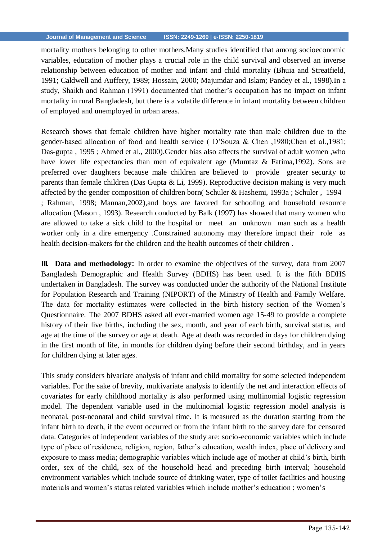mortality mothers belonging to other mothers.Many studies identified that among socioeconomic variables, education of mother plays a crucial role in the child survival and observed an inverse relationship between education of mother and infant and child mortality (Bhuia and Streatfield, 1991; Caldwell and Auffery, 1989; Hossain, 2000; Majumdar and Islam; Pandey et al., 1998).In a study, Shaikh and Rahman (1991) documented that mother's occupation has no impact on infant mortality in rural Bangladesh, but there is a volatile difference in infant mortality between children of employed and unemployed in urban areas.

Research shows that female children have higher mortality rate than male children due to the gender-based allocation of food and health service ( D'Souza & Chen ,1980;Chen et al*.*,1981; Das-gupta , 1995 ; Ahmed et al., 2000).Gender bias also affects the survival of adult women ,who have lower life expectancies than men of equivalent age (Mumtaz & Fatima, 1992). Sons are preferred over daughters because male children are believed to provide greater security to parents than female children (Das Gupta & Li, 1999). Reproductive decision making is very much affected by the gender composition of children born( Schuler & Hashemi, 1993a ; Schuler , 1994 ; Rahman, 1998; Mannan,2002),and boys are favored for schooling and household resource allocation (Mason , 1993). Research conducted by Balk (1997) has showed that many women who are allowed to take a sick child to the hospital or meet an unknown man such as a health worker only in a dire emergency .Constrained autonomy may therefore impact their role as health decision-makers for the children and the health outcomes of their children .

**III. Data and methodology:** In order to examine the objectives of the survey, data from 2007 Bangladesh Demographic and Health Survey (BDHS) has been used. It is the fifth BDHS undertaken in Bangladesh. The survey was conducted under the authority of the National Institute for Population Research and Training (NIPORT) of the Ministry of Health and Family Welfare. The data for mortality estimates were collected in the birth history section of the Women's Questionnaire. The 2007 BDHS asked all ever-married women age 15-49 to provide a complete history of their live births, including the sex, month, and year of each birth, survival status, and age at the time of the survey or age at death. Age at death was recorded in days for children dying in the first month of life, in months for children dying before their second birthday, and in years for children dying at later ages.

This study considers bivariate analysis of infant and child mortality for some selected independent variables. For the sake of brevity, multivariate analysis to identify the net and interaction effects of covariates for early childhood mortality is also performed using multinomial logistic regression model. The dependent variable used in the multinomial logistic regression model analysis is neonatal, post-neonatal and child survival time. It is measured as the duration starting from the infant birth to death, if the event occurred or from the infant birth to the survey date for censored data. Categories of independent variables of the study are: socio-economic variables which include type of place of residence, religion, region, father's education, wealth index, place of delivery and exposure to mass media; demographic variables which include age of mother at child's birth, birth order, sex of the child, sex of the household head and preceding birth interval; household environment variables which include source of drinking water, type of toilet facilities and housing materials and women's status related variables which include mother's education ; women's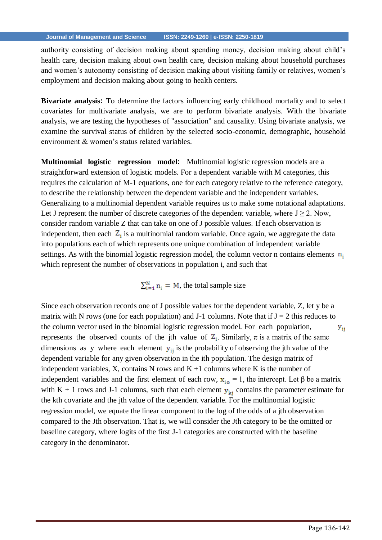authority consisting of decision making about spending money, decision making about child's health care, decision making about own health care, decision making about household purchases and women's autonomy consisting of decision making about visiting family or relatives, women's employment and decision making about going to health centers.

**Bivariate analysis:** To determine the factors influencing early childhood mortality and to select covariates for multivariate analysis, we are to perform bivariate analysis. With the bivariate analysis, we are testing the hypotheses of "association" and causality. Using bivariate analysis, we examine the survival status of children by the selected socio-economic, demographic, household environment & women's status related variables.

**Multinomial logistic regression model:** Multinomial logistic regression models are a straightforward extension of logistic models. For a dependent variable with M categories, this requires the calculation of M-1 equations, one for each category relative to the reference category, to describe the relationship between the dependent variable and the independent variables. Generalizing to a multinomial dependent variable requires us to make some notational adaptations. Let J represent the number of discrete categories of the dependent variable, where  $J \ge 2$ . Now, consider random variable Z that can take on one of J possible values. If each observation is independent, then each  $Z_i$  is a multinomial random variable. Once again, we aggregate the data into populations each of which represents one unique combination of independent variable settings. As with the binomial logistic regression model, the column vector n contains elements  $n_i$ which represent the number of observations in population i, and such that

 $\sum_{i=1}^{N} n_i = M$ , the total sample size

Since each observation records one of J possible values for the dependent variable, Z, let y be a matrix with N rows (one for each population) and J-1 columns. Note that if  $J = 2$  this reduces to the column vector used in the binomial logistic regression model. For each population,  $y_{ii}$ represents the observed counts of the jth value of  $Z_i$ . Similarly,  $\pi$  is a matrix of the same dimensions as y where each element  $y_{ii}$  is the probability of observing the jth value of the dependent variable for any given observation in the ith population. The design matrix of independent variables, X, contains N rows and  $K + 1$  columns where K is the number of independent variables and the first element of each row,  $x_{i0} = 1$ , the intercept. Let  $\beta$  be a matrix with K + 1 rows and J-1 columns, such that each element  $y_{ki}$  contains the parameter estimate for the kth covariate and the jth value of the dependent variable. For the multinomial logistic regression model, we equate the linear component to the log of the odds of a jth observation compared to the Jth observation. That is, we will consider the Jth category to be the omitted or baseline category, where logits of the first J-1 categories are constructed with the baseline category in the denominator.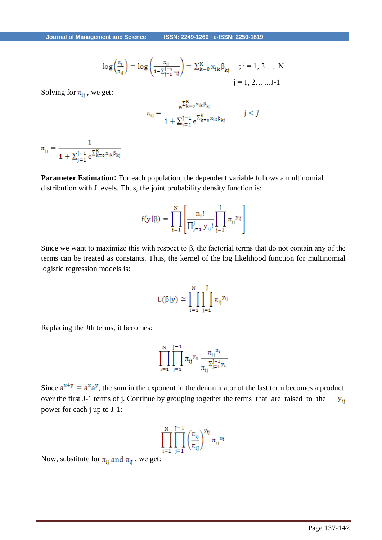$$
\log\left(\frac{\pi_{ij}}{\pi_{ij}}\right) = \log\left(\frac{\pi_{ij}}{1 - \sum_{j=1}^{J-1} \pi_{ij}}\right) = \sum_{k=0}^{K} x_{ik} \beta_{kj} \quad ; i = 1, 2, ..., N
$$
  
 $j = 1, 2, ..., J-1$ 

Solving for  $\pi_{ii}$ , we get:

$$
\pi_{ij} = \frac{e^{\sum_{k=0}^{K} x_{ik} \beta_{kj}}}{1 + \sum_{j=1}^{J-1} e^{\sum_{k=0}^{K} x_{ik} \beta_{kj}}}
$$
   
  $j < J$ 

 $\pi_{ij} = \frac{1}{1 + \sum_{j=1}^{J-1} e^{\sum_{k=0}^{K} x_{ik} \beta_{kj}}}$ 

**Parameter Estimation:** For each population, the dependent variable follows a multinomial distribution with J levels. Thus, the joint probability density function is:

$$
f(y | \beta) = \prod_{i=1}^{N} \left[ \frac{n_i!}{\prod_{j=1}^{J} y_{ij}!} \prod_{j=1}^{J} \pi_{ij}^{y_{ij}} \right]
$$

Since we want to maximize this with respect to  $\beta$ , the factorial terms that do not contain any of the terms can be treated as constants. Thus, the kernel of the log likelihood function for multinomial logistic regression models is:

$$
L(\beta|y) \simeq \prod_{i=1}^N \prod_{j=1}^J \pi_{ij}^{y_{ij}}
$$

Replacing the Jth terms, it becomes:

$$
\prod_{i=1}^{N} \prod_{j=1}^{J-1} \pi_{ij}^{y_{ij}} \frac{\pi_{ij}^{n_i}}{\pi_{ij}^{\sum_{j=4}^{J-1} y_{ij}}}
$$

Since  $a^{x+y} = a^x a^y$ , the sum in the exponent in the denominator of the last term becomes a product over the first J-1 terms of j. Continue by grouping together the terms that are raised to the  $y_{ii}$ power for each j up to J-1:

$$
\prod_{i=1}^N\prod_{j=1}^{J-1}\left(\frac{\pi_{ij}}{\pi_{ij}}\right)^{y_{ij}}\pi_{ij}{}^{n_i}
$$

Now, substitute for  $\pi_{ij}$  and  $\pi_{ij}$  , we get: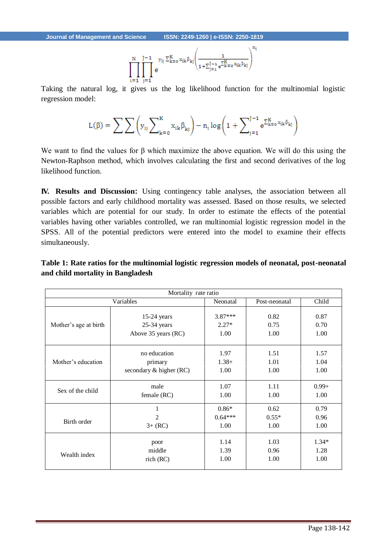$$
\prod_{i=1}^N \prod_{j=1}^{J-1} e^{y_{ij} \sum_{k=0}^K x_{ik} \beta_{kj} \left( \frac{1}{1+\sum_{j=1}^{J-1} e^{\sum_{k=0}^K x_{ik} \beta_{kj}}}\right)^{n_i}}
$$

Taking the natural log, it gives us the log likelihood function for the multinomial logistic regression model:

$$
L(\beta) = \sum \sum \left(y_{ij} \sum\nolimits_{k=0}^K x_{ik} \beta_{kj}\right) - n_i \log \biggl(1 + \sum\nolimits_{j=1}^{J-1} e^{\sum\nolimits_{k=0}^K x_{ik} \beta_{kj}}\biggr)
$$

We want to find the values for β which maximize the above equation. We will do this using the Newton-Raphson method, which involves calculating the first and second derivatives of the log likelihood function.

**IV. Results and Discussion:** Using contingency table analyses, the association between all possible factors and early childhood mortality was assessed. Based on those results, we selected variables which are potential for our study. In order to estimate the effects of the potential variables having other variables controlled, we ran multinomial logistic regression model in the SPSS. All of the potential predictors were entered into the model to examine their effects simultaneously.

## **Table 1: Rate ratios for the multinomial logistic regression models of neonatal, post-neonatal and child mortality in Bangladesh**

| Mortality rate ratio  |                         |           |               |          |  |  |
|-----------------------|-------------------------|-----------|---------------|----------|--|--|
| Variables             |                         | Neonatal  | Post-neonatal | Child    |  |  |
| Mother's age at birth | $15-24$ years           | $3.87***$ | 0.82          | 0.87     |  |  |
|                       | $25-34$ years           | $2.27*$   | 0.75          | 0.70     |  |  |
|                       | Above 35 years (RC)     | 1.00      | 1.00          | 1.00     |  |  |
| Mother's education    | no education            | 1.97      | 1.51          | 1.57     |  |  |
|                       | primary                 | $1.38+$   | 1.01          | 1.04     |  |  |
|                       | secondary & higher (RC) | 1.00      | 1.00          | 1.00     |  |  |
| Sex of the child      | male                    | 1.07      | 1.11          | $0.99 +$ |  |  |
|                       | female (RC)             | 1.00      | 1.00          | 1.00     |  |  |
| Birth order           | 1                       | $0.86*$   | 0.62          | 0.79     |  |  |
|                       | 2                       | $0.64***$ | $0.55*$       | 0.96     |  |  |
|                       | $3 + (RC)$              | 1.00      | 1.00          | 1.00     |  |  |
| Wealth index          | poor                    | 1.14      | 1.03          | $1.34*$  |  |  |
|                       | middle                  | 1.39      | 0.96          | 1.28     |  |  |
|                       | rich (RC)               | 1.00      | 1.00          | 1.00     |  |  |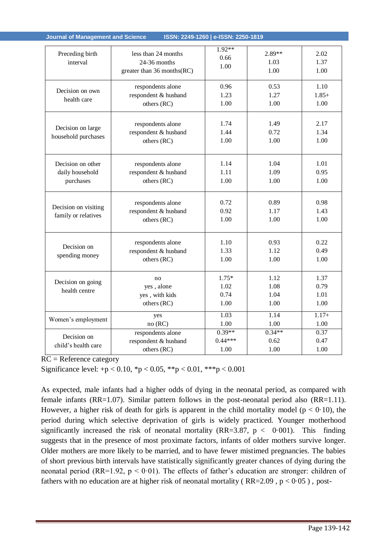| Preceding birth<br>interval                       | less than 24 months<br>$24-36$ months<br>greater than 36 months(RC) | $1.92**$<br>0.66<br>1.00        | 2.89**<br>1.03<br>1.00       | 2.02<br>1.37<br>1.00         |
|---------------------------------------------------|---------------------------------------------------------------------|---------------------------------|------------------------------|------------------------------|
| Decision on own<br>health care                    | respondents alone<br>respondent & husband<br>others (RC)            | 0.96<br>1.23<br>1.00            | 0.53<br>1.27<br>1.00         | 1.10<br>$1.85+$<br>1.00      |
| Decision on large<br>household purchases          | respondents alone<br>respondent & husband<br>others (RC)            | 1.74<br>1.44<br>1.00            | 1.49<br>0.72<br>1.00         | 2.17<br>1.34<br>1.00         |
| Decision on other<br>daily household<br>purchases | respondents alone<br>respondent & husband<br>others (RC)            | 1.14<br>1.11<br>1.00            | 1.04<br>1.09<br>1.00         | 1.01<br>0.95<br>1.00         |
| Decision on visiting<br>family or relatives       | respondents alone<br>respondent & husband<br>others (RC)            | 0.72<br>0.92<br>1.00            | 0.89<br>1.17<br>1.00         | 0.98<br>1.43<br>1.00         |
| Decision on<br>spending money                     | respondents alone<br>respondent & husband<br>others (RC)            | 1.10<br>1.33<br>1.00            | 0.93<br>1.12<br>1.00         | 0.22<br>0.49<br>1.00         |
| Decision on going<br>health centre                | no<br>yes, alone<br>yes, with kids<br>others (RC)                   | $1.75*$<br>1.02<br>0.74<br>1.00 | 1.12<br>1.08<br>1.04<br>1.00 | 1.37<br>0.79<br>1.01<br>1.00 |
| Women's employment                                | yes<br>no (RC)                                                      | 1.03<br>1.00                    | 1.14<br>1.00                 | $1.17+$<br>1.00              |
| Decision on<br>child's health care                | respondents alone<br>respondent & husband<br>others (RC)            | $0.39**$<br>$0.44***$<br>1.00   | $0.34**$<br>0.62<br>1.00     | 0.37<br>0.47<br>1.00         |

**Journal of Management and Science ISSN: 2249-1260 | e-ISSN: 2250-1819** 

RC = Reference category

Significance level:  $+p < 0.10$ ,  ${}^*p < 0.05$ ,  ${}^{**}p < 0.01$ ,  ${}^{**}p < 0.001$ 

As expected, male infants had a higher odds of dying in the neonatal period, as compared with female infants (RR=1.07). Similar pattern follows in the post-neonatal period also (RR=1.11). However, a higher risk of death for girls is apparent in the child mortality model ( $p < 0.10$ ), the period during which selective deprivation of girls is widely practiced. Younger motherhood significantly increased the risk of neonatal mortality (RR=3.87,  $p < 0.001$ ). This finding suggests that in the presence of most proximate factors, infants of older mothers survive longer. Older mothers are more likely to be married, and to have fewer mistimed pregnancies. The babies of short previous birth intervals have statistically significantly greater chances of dying during the neonatal period (RR=1.92,  $p < 0.01$ ). The effects of father's education are stronger: children of fathers with no education are at higher risk of neonatal mortality ( $RR=2.09$ ,  $p < 0.05$ ), post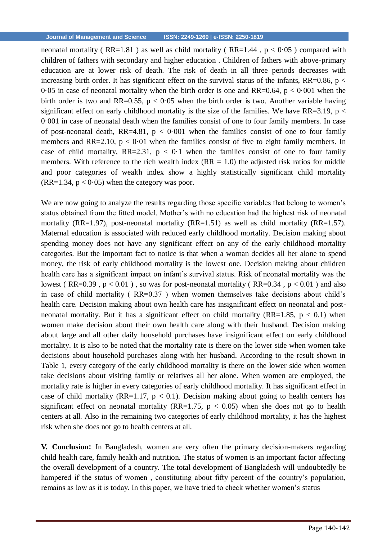neonatal mortality ( $RR=1.81$ ) as well as child mortality ( $RR=1.44$ ,  $p < 0.05$ ) compared with children of fathers with secondary and higher education . Children of fathers with above-primary education are at lower risk of death. The risk of death in all three periods decreases with increasing birth order. It has significant effect on the survival status of the infants,  $RR=0.86$ ,  $p <$ 0.05 in case of neonatal mortality when the birth order is one and  $RR=0.64$ ,  $p < 0.001$  when the birth order is two and RR=0.55,  $p < 0.05$  when the birth order is two. Another variable having significant effect on early childhood mortality is the size of the families. We have  $RR=3.19$ ,  $p <$ 0·001 in case of neonatal death when the families consist of one to four family members. In case of post-neonatal death, RR=4.81,  $p < 0.001$  when the families consist of one to four family members and RR=2.10,  $p < 0.01$  when the families consist of five to eight family members. In case of child mortality,  $RR=2.31$ ,  $p < 0.1$  when the families consist of one to four family members. With reference to the rich wealth index  $(RR = 1.0)$  the adjusted risk ratios for middle and poor categories of wealth index show a highly statistically significant child mortality  $(RR=1.34, p < 0.05)$  when the category was poor.

We are now going to analyze the results regarding those specific variables that belong to women's status obtained from the fitted model. Mother's with no education had the highest risk of neonatal mortality (RR=1.97), post-neonatal mortality (RR=1.51) as well as child mortality (RR=1.57). Maternal education is associated with reduced early childhood mortality. Decision making about spending money does not have any significant effect on any of the early childhood mortality categories. But the important fact to notice is that when a woman decides all her alone to spend money, the risk of early childhood mortality is the lowest one. Decision making about children health care has a significant impact on infant's survival status. Risk of neonatal mortality was the lowest (RR=0.39,  $p < 0.01$ ), so was for post-neonatal mortality (RR=0.34,  $p < 0.01$ ) and also in case of child mortality ( RR=0.37 ) when women themselves take decisions about child's health care. Decision making about own health care has insignificant effect on neonatal and postneonatal mortality. But it has a significant effect on child mortality (RR=1.85,  $p < 0.1$ ) when women make decision about their own health care along with their husband. Decision making about large and all other daily household purchases have insignificant effect on early childhood mortality. It is also to be noted that the mortality rate is there on the lower side when women take decisions about household purchases along with her husband. According to the result shown in Table 1, every category of the early childhood mortality is there on the lower side when women take decisions about visiting family or relatives all her alone. When women are employed, the mortality rate is higher in every categories of early childhood mortality. It has significant effect in case of child mortality (RR=1.17,  $p < 0.1$ ). Decision making about going to health centers has significant effect on neonatal mortality (RR=1.75,  $p < 0.05$ ) when she does not go to health centers at all. Also in the remaining two categories of early childhood mortality, it has the highest risk when she does not go to health centers at all.

**V. Conclusion:** In Bangladesh, women are very often the primary decision-makers regarding child health care, family health and nutrition. The status of women is an important factor affecting the overall development of a country. The total development of Bangladesh will undoubtedly be hampered if the status of women , constituting about fifty percent of the country's population, remains as low as it is today. In this paper, we have tried to check whether women's status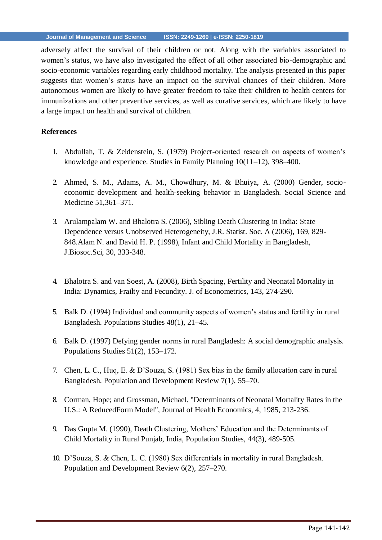adversely affect the survival of their children or not. Along with the variables associated to women's status, we have also investigated the effect of all other associated bio-demographic and socio-economic variables regarding early childhood mortality. The analysis presented in this paper suggests that women's status have an impact on the survival chances of their children. More autonomous women are likely to have greater freedom to take their children to health centers for immunizations and other preventive services, as well as curative services, which are likely to have a large impact on health and survival of children.

## **References**

- 1. Abdullah, T. & Zeidenstein, S. (1979) Project-oriented research on aspects of women's knowledge and experience. Studies in Family Planning 10(11–12), 398–400.
- 2. Ahmed, S. M., Adams, A. M., Chowdhury, M. & Bhuiya, A. (2000) Gender, socioeconomic development and health-seeking behavior in Bangladesh. Social Science and Medicine 51,361–371.
- 3. Arulampalam W. and Bhalotra S. (2006), Sibling Death Clustering in India: State Dependence versus Unobserved Heterogeneity, J.R. Statist. Soc. A (2006), 169, 829- 848.Alam N. and David H. P. (1998), Infant and Child Mortality in Bangladesh, J.Biosoc.Sci, 30, 333-348.
- 4. Bhalotra S. and van Soest, A. (2008), Birth Spacing, Fertility and Neonatal Mortality in India: Dynamics, Frailty and Fecundity. J. of Econometrics, 143, 274-290.
- 5. Balk D. (1994) Individual and community aspects of women's status and fertility in rural Bangladesh. Populations Studies 48(1), 21–45.
- 6. Balk D. (1997) Defying gender norms in rural Bangladesh: A social demographic analysis. Populations Studies 51(2), 153–172.
- 7. Chen, L. C., Huq, E. & D'Souza, S. (1981) Sex bias in the family allocation care in rural Bangladesh. Population and Development Review 7(1), 55–70.
- 8. Corman, Hope; and Grossman, Michael. "Determinants of Neonatal Mortality Rates in the U.S.: A ReducedForm Model", Journal of Health Economics, 4, 1985, 213-236.
- 9. Das Gupta M. (1990), Death Clustering, Mothers' Education and the Determinants of Child Mortality in Rural Punjab, India, Population Studies, 44(3), 489-505.
- 10. D'Souza, S. & Chen, L. C. (1980) Sex differentials in mortality in rural Bangladesh. Population and Development Review 6(2), 257–270.